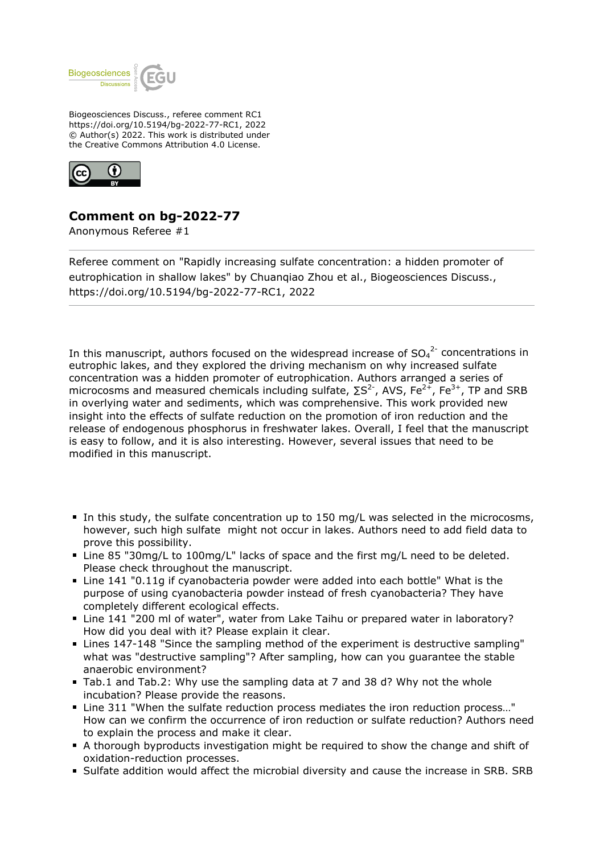

Biogeosciences Discuss., referee comment RC1 https://doi.org/10.5194/bg-2022-77-RC1, 2022 © Author(s) 2022. This work is distributed under the Creative Commons Attribution 4.0 License.



## **Comment on bg-2022-77**

Anonymous Referee #1

Referee comment on "Rapidly increasing sulfate concentration: a hidden promoter of eutrophication in shallow lakes" by Chuanqiao Zhou et al., Biogeosciences Discuss., https://doi.org/10.5194/bg-2022-77-RC1, 2022

In this manuscript, authors focused on the widespread increase of  $SO_4^2$  concentrations in eutrophic lakes, and they explored the driving mechanism on why increased sulfate concentration was a hidden promoter of eutrophication. Authors arranged a series of microcosms and measured chemicals including sulfate,  $\Sigma S^2$ , AVS, Fe<sup>2+</sup>, Fe<sup>3+</sup>, TP and SRB in overlying water and sediments, which was comprehensive. This work provided new insight into the effects of sulfate reduction on the promotion of iron reduction and the release of endogenous phosphorus in freshwater lakes. Overall, I feel that the manuscript is easy to follow, and it is also interesting. However, several issues that need to be modified in this manuscript.

- In this study, the sulfate concentration up to 150 mg/L was selected in the microcosms, however, such high sulfate might not occur in lakes. Authors need to add field data to prove this possibility.
- Line 85 "30mg/L to 100mg/L" lacks of space and the first mg/L need to be deleted. Please check throughout the manuscript.
- Line 141 "0.11g if cyanobacteria powder were added into each bottle" What is the purpose of using cyanobacteria powder instead of fresh cyanobacteria? They have completely different ecological effects.
- Line 141 "200 ml of water", water from Lake Taihu or prepared water in laboratory? How did you deal with it? Please explain it clear.
- Lines 147-148 "Since the sampling method of the experiment is destructive sampling" what was "destructive sampling"? After sampling, how can you guarantee the stable anaerobic environment?
- Tab.1 and Tab.2: Why use the sampling data at 7 and 38 d? Why not the whole incubation? Please provide the reasons.
- Line 311 "When the sulfate reduction process mediates the iron reduction process…" How can we confirm the occurrence of iron reduction or sulfate reduction? Authors need to explain the process and make it clear.
- A thorough byproducts investigation might be required to show the change and shift of oxidation-reduction processes.
- Sulfate addition would affect the microbial diversity and cause the increase in SRB. SRB